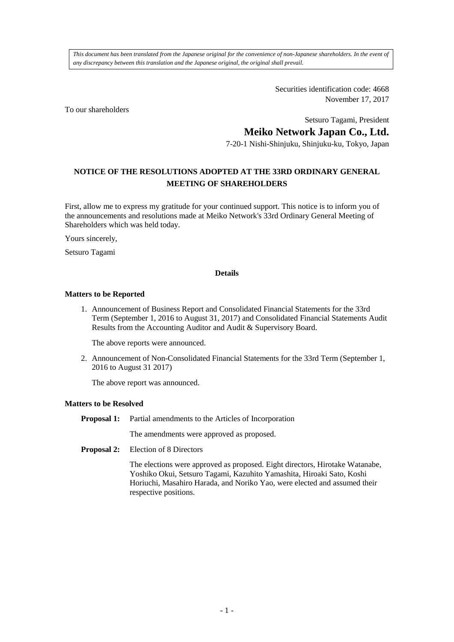*This document has been translated from the Japanese original for the convenience of non-Japanese shareholders. In the event of any discrepancy between this translation and the Japanese original, the original shall prevail.*

> Securities identification code: 4668 November 17, 2017

To our shareholders

Setsuro Tagami, President

**Meiko Network Japan Co., Ltd.**

7-20-1 Nishi-Shinjuku, Shinjuku-ku, Tokyo, Japan

## **NOTICE OF THE RESOLUTIONS ADOPTED AT THE 33RD ORDINARY GENERAL MEETING OF SHAREHOLDERS**

First, allow me to express my gratitude for your continued support. This notice is to inform you of the announcements and resolutions made at Meiko Network's 33rd Ordinary General Meeting of Shareholders which was held today.

Yours sincerely,

Setsuro Tagami

## **Details**

## **Matters to be Reported**

1. Announcement of Business Report and Consolidated Financial Statements for the 33rd Term (September 1, 2016 to August 31, 2017) and Consolidated Financial Statements Audit Results from the Accounting Auditor and Audit & Supervisory Board.

The above reports were announced.

2. Announcement of Non-Consolidated Financial Statements for the 33rd Term (September 1, 2016 to August 31 2017)

The above report was announced.

## **Matters to be Resolved**

**Proposal 1:** Partial amendments to the Articles of Incorporation

The amendments were approved as proposed.

**Proposal 2:** Election of 8 Directors

The elections were approved as proposed. Eight directors, Hirotake Watanabe, Yoshiko Okui, Setsuro Tagami, Kazuhito Yamashita, Hiroaki Sato, Koshi Horiuchi, Masahiro Harada, and Noriko Yao, were elected and assumed their respective positions.